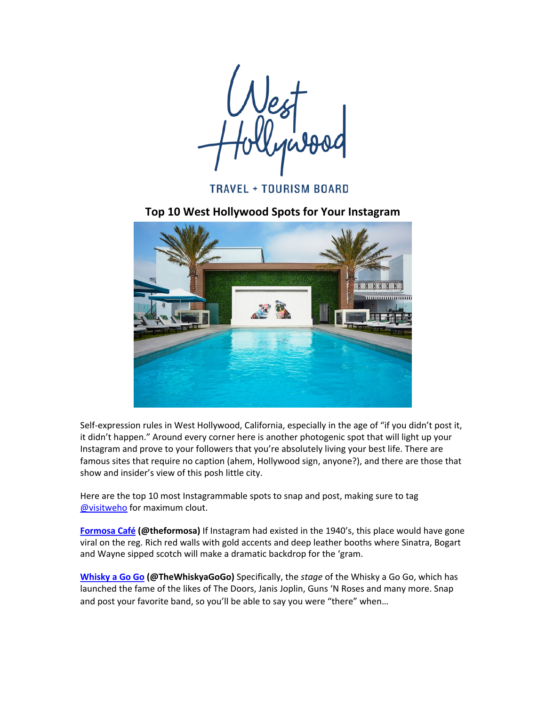**TRAVEL + TOURISM BOARD** 

**Top 10 West Hollywood Spots for Your Instagram** 



Self-expression rules in West Hollywood, California, especially in the age of "if you didn't post it, it didn't happen." Around every corner here is another photogenic spot that will light up your Instagram and prove to your followers that you're absolutely living your best life. There are famous sites that require no caption (ahem, Hollywood sign, anyone?), and there are those that show and insider's view of this posh little city.

Here are the top 10 most Instagrammable spots to snap and post, making sure to tag @visitweho for maximum clout.

**Formosa Café** (@theformosa) If Instagram had existed in the 1940's, this place would have gone viral on the reg. Rich red walls with gold accents and deep leather booths where Sinatra, Bogart and Wayne sipped scotch will make a dramatic backdrop for the 'gram.

**Whisky a Go Go (@TheWhiskyaGoGo)** Specifically, the *stage* of the Whisky a Go Go, which has launched the fame of the likes of The Doors, Janis Joplin, Guns 'N Roses and many more. Snap and post your favorite band, so you'll be able to say you were "there" when...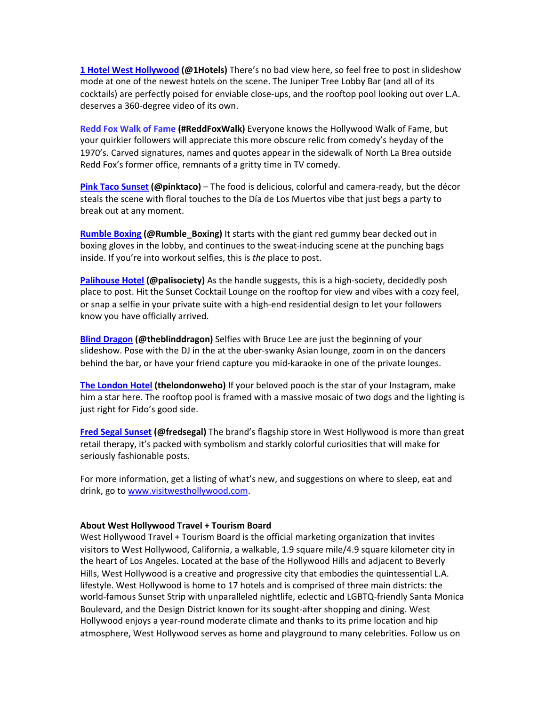**1 Hotel West Hollywood (@1Hotels)** There's no bad view here, so feel free to post in slideshow mode at one of the newest hotels on the scene. The Juniper Tree Lobby Bar (and all of its cocktails) are perfectly poised for enviable close-ups, and the rooftop pool looking out over L.A. deserves a 360-degree video of its own.

**Redd Fox Walk of Fame (#ReddFoxWalk)** Everyone knows the Hollywood Walk of Fame, but your quirkier followers will appreciate this more obscure relic from comedy's heyday of the 1970's. Carved signatures, names and quotes appear in the sidewalk of North La Brea outside Redd Fox's former office, remnants of a gritty time in TV comedy.

**Pink Taco Sunset (@pinktaco)** – The food is delicious, colorful and camera-ready, but the décor steals the scene with floral touches to the Día de Los Muertos vibe that just begs a party to break out at any moment.

Rumble Boxing (@Rumble\_Boxing) It starts with the giant red gummy bear decked out in boxing gloves in the lobby, and continues to the sweat-inducing scene at the punching bags inside. If you're into workout selfies, this is the place to post.

**Palihouse Hotel (@palisociety)** As the handle suggests, this is a high-society, decidedly posh place to post. Hit the Sunset Cocktail Lounge on the rooftop for view and vibes with a cozy feel, or snap a selfie in your private suite with a high-end residential design to let your followers know you have officially arrived.

**Blind Dragon (@theblinddragon)** Selfies with Bruce Lee are just the beginning of your slideshow. Pose with the DJ in the at the uber-swanky Asian lounge, zoom in on the dancers behind the bar, or have your friend capture you mid-karaoke in one of the private lounges.

**The London Hotel (thelondonweho)** If your beloved pooch is the star of your Instagram, make him a star here. The rooftop pool is framed with a massive mosaic of two dogs and the lighting is just right for Fido's good side.

**Fred Segal Sunset (@fredsegal)** The brand's flagship store in West Hollywood is more than great retail therapy, it's packed with symbolism and starkly colorful curiosities that will make for seriously fashionable posts.

For more information, get a listing of what's new, and suggestions on where to sleep, eat and drink, go to www.visitwesthollywood.com.

## **About West Hollywood Travel + Tourism Board**

West Hollywood Travel + Tourism Board is the official marketing organization that invites visitors to West Hollywood, California, a walkable, 1.9 square mile/4.9 square kilometer city in the heart of Los Angeles. Located at the base of the Hollywood Hills and adjacent to Beverly Hills, West Hollywood is a creative and progressive city that embodies the quintessential L.A. lifestyle. West Hollywood is home to 17 hotels and is comprised of three main districts: the world-famous Sunset Strip with unparalleled nightlife, eclectic and LGBTQ-friendly Santa Monica Boulevard, and the Design District known for its sought-after shopping and dining. West Hollywood enjoys a year-round moderate climate and thanks to its prime location and hip atmosphere, West Hollywood serves as home and playground to many celebrities. Follow us on